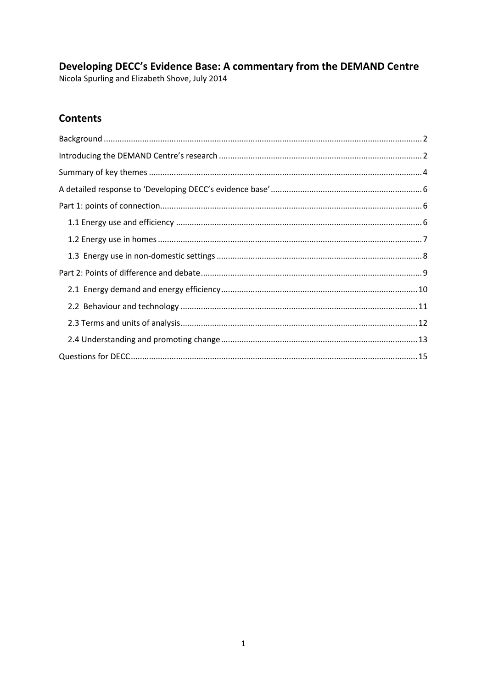# Developing DECC's Evidence Base: A commentary from the DEMAND Centre

Nicola Spurling and Elizabeth Shove, July 2014

## **Contents**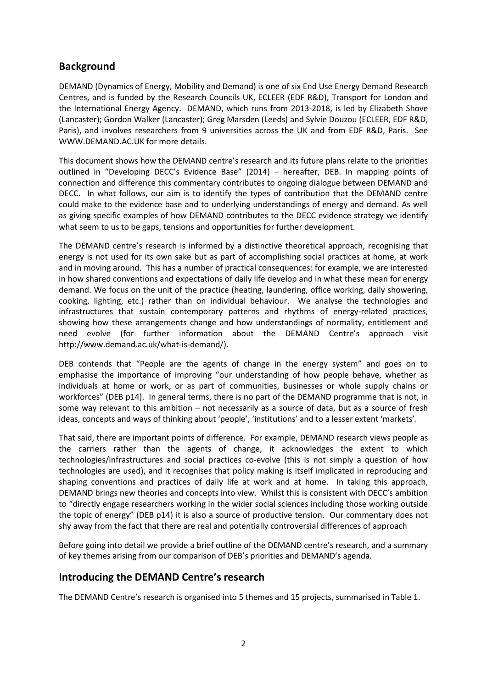### <span id="page-1-0"></span>**Background**

DEMAND (Dynamics of Energy, Mobility and Demand) is one of six End Use Energy Demand Research Centres, and is funded by the Research Councils UK, ECLEER (EDF R&D), Transport for London and the International Energy Agency. DEMAND, which runs from 2013-2018, is led by Elizabeth Shove (Lancaster); Gordon Walker (Lancaster); Greg Marsden (Leeds) and Sylvie Douzou (ECLEER, EDF R&D, Paris), and involves researchers from 9 universities across the UK and from EDF R&D, Paris. See [WWW.DEMAND.AC.UK](http://www.demand.ac.uk/) for more details.

This document shows how the DEMAND centre's research and its future plans relate to the priorities outlined in "Developing DECC's Evidence Base" (2014) – hereafter, DEB. In mapping points of connection and difference this commentary contributes to ongoing dialogue between DEMAND and DECC. In what follows, our aim is to identify the types of contribution that the DEMAND centre could make to the evidence base and to underlying understandings of energy and demand. As well as giving specific examples of how DEMAND contributes to the DECC evidence strategy we identify what seem to us to be gaps, tensions and opportunities for further development.

The DEMAND centre's research is informed by a distinctive theoretical approach, recognising that energy is not used for its own sake but as part of accomplishing social practices at home, at work and in moving around. This has a number of practical consequences: for example, we are interested in how shared conventions and expectations of daily life develop and in what these mean for energy demand. We focus on the unit of the practice (heating, laundering, office working, daily showering, cooking, lighting, etc.) rather than on individual behaviour. We analyse the technologies and infrastructures that sustain contemporary patterns and rhythms of energy-related practices, showing how these arrangements change and how understandings of normality, entitlement and need evolve (for further information about the DEMAND Centre's approach visit [http://www.demand.ac.uk/what-is-demand/\)](http://www.demand.ac.uk/what-is-demand/).

DEB contends that "People are the agents of change in the energy system" and goes on to emphasise the importance of improving "our understanding of how people behave, whether as individuals at home or work, or as part of communities, businesses or whole supply chains or workforces" (DEB p14). In general terms, there is no part of the DEMAND programme that is not, in some way relevant to this ambition – not necessarily as a source of data, but as a source of fresh ideas, concepts and ways of thinking about 'people', 'institutions' and to a lesser extent 'markets'.

That said, there are important points of difference. For example, DEMAND research views people as the carriers rather than the agents of change, it acknowledges the extent to which technologies/infrastructures and social practices co-evolve (this is not simply a question of how technologies are used), and it recognises that policy making is itself implicated in reproducing and shaping conventions and practices of daily life at work and at home. In taking this approach, DEMAND brings new theories and concepts into view. Whilst this is consistent with DECC's ambition to "directly engage researchers working in the wider social sciences including those working outside the topic of energy" (DEB p14) it is also a source of productive tension. Our commentary does not shy away from the fact that there are real and potentially controversial differences of approach

Before going into detail we provide a brief outline of the DEMAND centre's research, and a summary of key themes arising from our comparison of DEB's priorities and DEMAND's agenda.

### <span id="page-1-1"></span>**Introducing the DEMAND Centre's research**

The DEMAND Centre's research is organised into 5 themes and 15 projects, summarised in Table 1.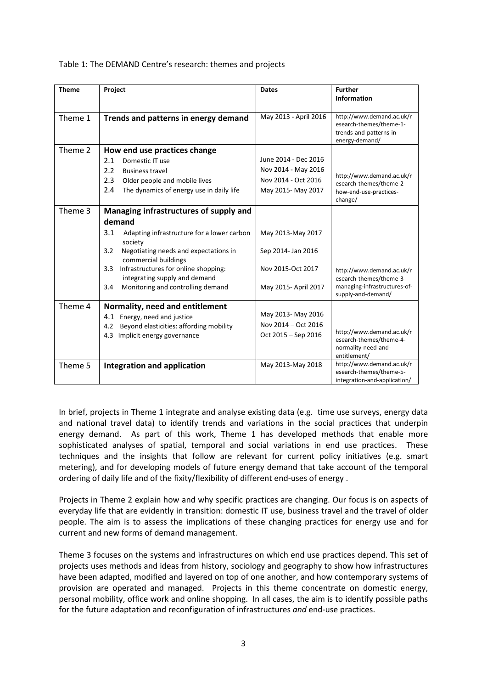Table 1: The DEMAND Centre's research: themes and projects

| <b>Theme</b> | Project                                                                      | <b>Dates</b>          | <b>Further</b><br><b>Information</b>                                                              |
|--------------|------------------------------------------------------------------------------|-----------------------|---------------------------------------------------------------------------------------------------|
|              |                                                                              |                       |                                                                                                   |
| Theme 1      | Trends and patterns in energy demand                                         | May 2013 - April 2016 | http://www.demand.ac.uk/r<br>esearch-themes/theme-1-<br>trends-and-patterns-in-<br>energy-demand/ |
| Theme 2      | How end use practices change                                                 |                       |                                                                                                   |
|              | 2.1<br>Domestic IT use                                                       | June 2014 - Dec 2016  |                                                                                                   |
|              | 2.2<br><b>Business travel</b>                                                | Nov 2014 - May 2016   | http://www.demand.ac.uk/r<br>esearch-themes/theme-2-<br>how-end-use-practices-<br>change/         |
|              | 2.3<br>Older people and mobile lives                                         | Nov 2014 - Oct 2016   |                                                                                                   |
|              | 2.4<br>The dynamics of energy use in daily life                              | May 2015- May 2017    |                                                                                                   |
| Theme 3      | Managing infrastructures of supply and                                       |                       |                                                                                                   |
|              | demand                                                                       |                       |                                                                                                   |
|              | 3.1<br>Adapting infrastructure for a lower carbon<br>society                 | May 2013-May 2017     |                                                                                                   |
|              | Negotiating needs and expectations in<br>3.2<br>commercial buildings         | Sep 2014- Jan 2016    |                                                                                                   |
|              | Infrastructures for online shopping:<br>3.3<br>integrating supply and demand | Nov 2015-Oct 2017     | http://www.demand.ac.uk/r<br>esearch-themes/theme-3-                                              |
|              | Monitoring and controlling demand<br>3.4                                     | May 2015- April 2017  | managing-infrastructures-of-<br>supply-and-demand/                                                |
| Theme 4      | Normality, need and entitlement                                              |                       |                                                                                                   |
|              | 4.1 Energy, need and justice                                                 | May 2013- May 2016    |                                                                                                   |
|              | Beyond elasticities: affording mobility<br>4.2                               | Nov 2014 - Oct 2016   |                                                                                                   |
|              | 4.3 Implicit energy governance                                               | Oct 2015 - Sep 2016   | http://www.demand.ac.uk/r<br>esearch-themes/theme-4-<br>normality-need-and-<br>entitlement/       |
| Theme 5      | <b>Integration and application</b>                                           | May 2013-May 2018     | http://www.demand.ac.uk/r<br>esearch-themes/theme-5-<br>integration-and-application/              |

In brief, projects in Theme 1 integrate and analyse existing data (e.g. time use surveys, energy data and national travel data) to identify trends and variations in the social practices that underpin energy demand. As part of this work, Theme 1 has developed methods that enable more sophisticated analyses of spatial, temporal and social variations in end use practices. These techniques and the insights that follow are relevant for current policy initiatives (e.g. smart metering), and for developing models of future energy demand that take account of the temporal ordering of daily life and of the fixity/flexibility of different end-uses of energy .

Projects in Theme 2 explain how and why specific practices are changing. Our focus is on aspects of everyday life that are evidently in transition: domestic IT use, business travel and the travel of older people. The aim is to assess the implications of these changing practices for energy use and for current and new forms of demand management.

Theme 3 focuses on the systems and infrastructures on which end use practices depend. This set of projects uses methods and ideas from history, sociology and geography to show how infrastructures have been adapted, modified and layered on top of one another, and how contemporary systems of provision are operated and managed. Projects in this theme concentrate on domestic energy, personal mobility, office work and online shopping. In all cases, the aim is to identify possible paths for the future adaptation and reconfiguration of infrastructures *and* end-use practices.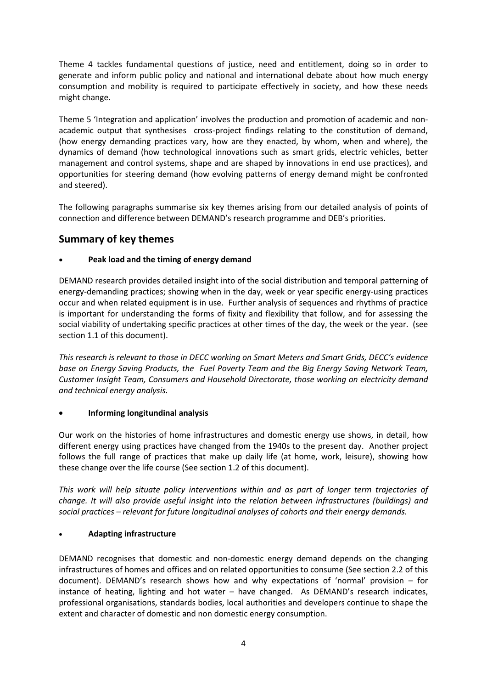Theme 4 tackles fundamental questions of justice, need and entitlement, doing so in order to generate and inform public policy and national and international debate about how much energy consumption and mobility is required to participate effectively in society, and how these needs might change.

Theme 5 'Integration and application' involves the production and promotion of academic and nonacademic output that synthesises cross-project findings relating to the constitution of demand, (how energy demanding practices vary, how are they enacted, by whom, when and where), the dynamics of demand (how technological innovations such as smart grids, electric vehicles, better management and control systems, shape and are shaped by innovations in end use practices), and opportunities for steering demand (how evolving patterns of energy demand might be confronted and steered).

The following paragraphs summarise six key themes arising from our detailed analysis of points of connection and difference between DEMAND's research programme and DEB's priorities.

## <span id="page-3-0"></span>**Summary of key themes**

#### • **Peak load and the timing of energy demand**

DEMAND research provides detailed insight into of the social distribution and temporal patterning of energy-demanding practices; showing when in the day, week or year specific energy-using practices occur and when related equipment is in use. Further analysis of sequences and rhythms of practice is important for understanding the forms of fixity and flexibility that follow, and for assessing the social viability of undertaking specific practices at other times of the day, the week or the year. (see section 1.1 of this document).

*This research is relevant to those in DECC working on Smart Meters and Smart Grids, DECC's evidence base on Energy Saving Products, the Fuel Poverty Team and the Big Energy Saving Network Team, Customer Insight Team, Consumers and Household Directorate, those working on electricity demand and technical energy analysis.*

#### • **Informing longitundinal analysis**

Our work on the histories of home infrastructures and domestic energy use shows, in detail, how different energy using practices have changed from the 1940s to the present day. Another project follows the full range of practices that make up daily life (at home, work, leisure), showing how these change over the life course (See section 1.2 of this document).

*This work will help situate policy interventions within and as part of longer term trajectories of change. It will also provide useful insight into the relation between infrastructures (buildings) and social practices – relevant for future longitudinal analyses of cohorts and their energy demands.*

#### • **Adapting infrastructure**

DEMAND recognises that domestic and non-domestic energy demand depends on the changing infrastructures of homes and offices and on related opportunities to consume (See section 2.2 of this document). DEMAND's research shows how and why expectations of 'normal' provision – for instance of heating, lighting and hot water – have changed. As DEMAND's research indicates, professional organisations, standards bodies, local authorities and developers continue to shape the extent and character of domestic and non domestic energy consumption.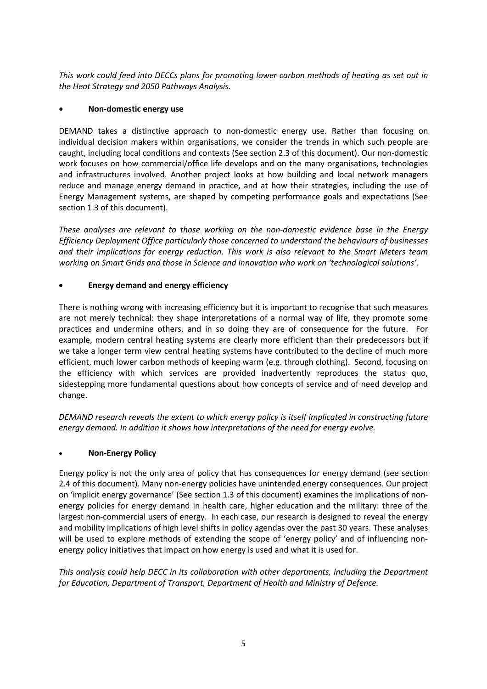*This work could feed into DECCs plans for promoting lower carbon methods of heating as set out in the Heat Strategy and 2050 Pathways Analysis.*

#### • **Non-domestic energy use**

DEMAND takes a distinctive approach to non-domestic energy use. Rather than focusing on individual decision makers within organisations, we consider the trends in which such people are caught, including local conditions and contexts (See section 2.3 of this document). Our non-domestic work focuses on how commercial/office life develops and on the many organisations, technologies and infrastructures involved. Another project looks at how building and local network managers reduce and manage energy demand in practice, and at how their strategies, including the use of Energy Management systems, are shaped by competing performance goals and expectations (See section 1.3 of this document).

*These analyses are relevant to those working on the non-domestic evidence base in the Energy Efficiency Deployment Office particularly those concerned to understand the behaviours of businesses and their implications for energy reduction. This work is also relevant to the Smart Meters team working on Smart Grids and those in Science and Innovation who work on 'technological solutions'.*

#### • **Energy demand and energy efficiency**

There is nothing wrong with increasing efficiency but it is important to recognise that such measures are not merely technical: they shape interpretations of a normal way of life, they promote some practices and undermine others, and in so doing they are of consequence for the future. For example, modern central heating systems are clearly more efficient than their predecessors but if we take a longer term view central heating systems have contributed to the decline of much more efficient, much lower carbon methods of keeping warm (e.g. through clothing). Second, focusing on the efficiency with which services are provided inadvertently reproduces the status quo, sidestepping more fundamental questions about how concepts of service and of need develop and change.

*DEMAND research reveals the extent to which energy policy is itself implicated in constructing future energy demand. In addition it shows how interpretations of the need for energy evolve.*

#### • **Non-Energy Policy**

Energy policy is not the only area of policy that has consequences for energy demand (see section 2.4 of this document). Many non-energy policies have unintended energy consequences. Our project on 'implicit energy governance' (See section 1.3 of this document) examines the implications of nonenergy policies for energy demand in health care, higher education and the military: three of the largest non-commercial users of energy. In each case, our research is designed to reveal the energy and mobility implications of high level shifts in policy agendas over the past 30 years. These analyses will be used to explore methods of extending the scope of 'energy policy' and of influencing nonenergy policy initiatives that impact on how energy is used and what it is used for.

<span id="page-4-0"></span>*This analysis could help DECC in its collaboration with other departments, including the Department for Education, Department of Transport, Department of Health and Ministry of Defence.*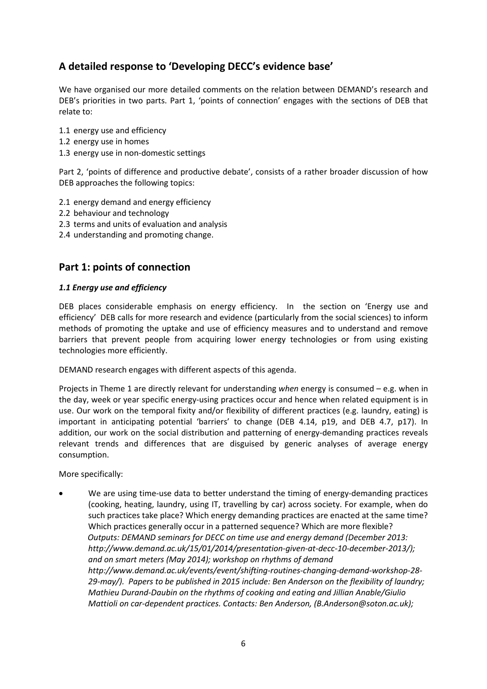## **A detailed response to 'Developing DECC's evidence base'**

We have organised our more detailed comments on the relation between DEMAND's research and DEB's priorities in two parts. Part 1, 'points of connection' engages with the sections of DEB that relate to:

- 1.1 energy use and efficiency
- 1.2 energy use in homes
- 1.3 energy use in non-domestic settings

Part 2, 'points of difference and productive debate', consists of a rather broader discussion of how DEB approaches the following topics:

- 2.1 energy demand and energy efficiency
- 2.2 behaviour and technology
- 2.3 terms and units of evaluation and analysis
- 2.4 understanding and promoting change.

### <span id="page-5-0"></span>**Part 1: points of connection**

#### <span id="page-5-1"></span>*1.1 Energy use and efficiency*

DEB places considerable emphasis on energy efficiency. In the section on 'Energy use and efficiency' DEB calls for more research and evidence (particularly from the social sciences) to inform methods of promoting the uptake and use of efficiency measures and to understand and remove barriers that prevent people from acquiring lower energy technologies or from using existing technologies more efficiently.

DEMAND research engages with different aspects of this agenda.

Projects in Theme 1 are directly relevant for understanding *when* energy is consumed – e.g. when in the day, week or year specific energy-using practices occur and hence when related equipment is in use. Our work on the temporal fixity and/or flexibility of different practices (e.g. laundry, eating) is important in anticipating potential 'barriers' to change (DEB 4.14, p19, and DEB 4.7, p17). In addition, our work on the social distribution and patterning of energy-demanding practices reveals relevant trends and differences that are disguised by generic analyses of average energy consumption.

More specifically:

We are using time-use data to better understand the timing of energy-demanding practices (cooking, heating, laundry, using IT, travelling by car) across society. For example, when do such practices take place? Which energy demanding practices are enacted at the same time? Which practices generally occur in a patterned sequence? Which are more flexible? *Outputs: DEMAND seminars for DECC on time use and energy demand (December 2013: [http://www.demand.ac.uk/15/01/2014/presentation-given-at-decc-10-december-2013/\)](http://www.demand.ac.uk/15/01/2014/presentation-given-at-decc-10-december-2013/); and on smart meters (May 2014); workshop on rhythms of demand [http://www.demand.ac.uk/events/event/shifting-routines-changing-demand-workshop-28-](http://www.demand.ac.uk/events/event/shifting-routines-changing-demand-workshop-28-29-may/) [29-may/\)](http://www.demand.ac.uk/events/event/shifting-routines-changing-demand-workshop-28-29-may/). Papers to be published in 2015 include: Ben Anderson on the flexibility of laundry; Mathieu Durand-Daubin on the rhythms of cooking and eating and Jillian Anable/Giulio Mattioli on car-dependent practices. Contacts: Ben Anderson, [\(B.Anderson@soton.ac.uk\)](mailto:B.Anderson@soton.ac.uk);*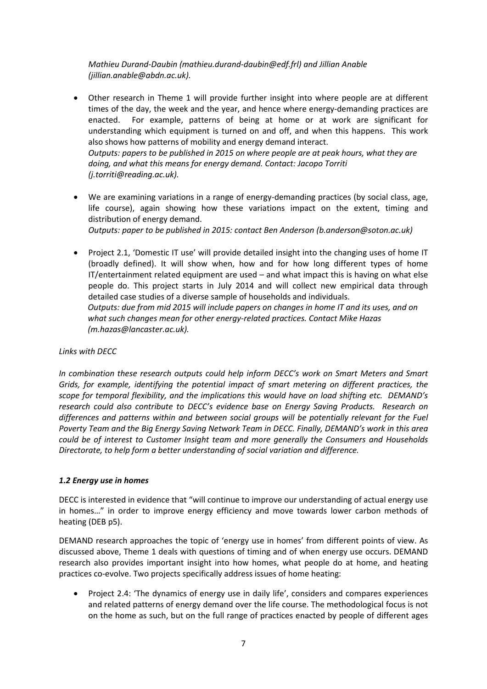*Mathieu Durand-Daubin (mathieu.durand-daubin@edf.frl) and Jillian Anable (jillian.anable@abdn.ac.uk).*

• Other research in Theme 1 will provide further insight into where people are at different times of the day, the week and the year, and hence where energy-demanding practices are enacted. For example, patterns of being at home or at work are significant for understanding which equipment is turned on and off, and when this happens. This work also shows how patterns of mobility and energy demand interact. *Outputs: papers to be published in 2015 on where people are at peak hours, what they are doing, and what this means for energy demand. Contact: Jacopo Torriti* 

*(j.torriti@reading.ac.uk).*

• We are examining variations in a range of energy-demanding practices (by social class, age, life course), again showing how these variations impact on the extent, timing and distribution of energy demand.

*Outputs: paper to be published in 2015: contact Ben Anderson (b.anderson@soton.ac.uk)*

• Project 2.1, 'Domestic IT use' will provide detailed insight into the changing uses of home IT (broadly defined). It will show when, how and for how long different types of home IT/entertainment related equipment are used – and what impact this is having on what else people do. This project starts in July 2014 and will collect new empirical data through detailed case studies of a diverse sample of households and individuals. *Outputs: due from mid 2015 will include papers on changes in home IT and its uses, and on what such changes mean for other energy-related practices. Contact Mike Hazas (m.hazas@lancaster.ac.uk).*

#### *Links with DECC*

*In combination these research outputs could help inform DECC's work on Smart Meters and Smart Grids, for example, identifying the potential impact of smart metering on different practices, the scope for temporal flexibility, and the implications this would have on load shifting etc. DEMAND's research could also contribute to DECC's evidence base on Energy Saving Products. Research on differences and patterns within and between social groups will be potentially relevant for the Fuel Poverty Team and the Big Energy Saving Network Team in DECC. Finally, DEMAND's work in this area could be of interest to Customer Insight team and more generally the Consumers and Households Directorate, to help form a better understanding of social variation and difference.*

#### <span id="page-6-0"></span>*1.2 Energy use in homes*

DECC is interested in evidence that "will continue to improve our understanding of actual energy use in homes…" in order to improve energy efficiency and move towards lower carbon methods of heating (DEB p5).

DEMAND research approaches the topic of 'energy use in homes' from different points of view. As discussed above, Theme 1 deals with questions of timing and of when energy use occurs. DEMAND research also provides important insight into how homes, what people do at home, and heating practices co-evolve. Two projects specifically address issues of home heating:

• Project 2.4: 'The dynamics of energy use in daily life', considers and compares experiences and related patterns of energy demand over the life course. The methodological focus is not on the home as such, but on the full range of practices enacted by people of different ages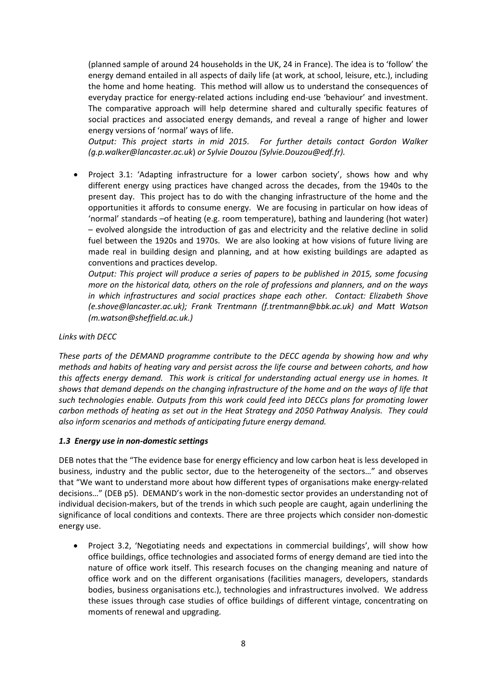(planned sample of around 24 households in the UK, 24 in France). The idea is to 'follow' the energy demand entailed in all aspects of daily life (at work, at school, leisure, etc.), including the home and home heating. This method will allow us to understand the consequences of everyday practice for energy-related actions including end-use 'behaviour' and investment. The comparative approach will help determine shared and culturally specific features of social practices and associated energy demands, and reveal a range of higher and lower energy versions of 'normal' ways of life.

*Output: This project starts in mid 2015. For further details contact Gordon Walker [\(g.p.walker@lancaster.ac.uk](mailto:g.p.walker@lancaster.ac.uk)*) *or Sylvie Douzou (Sylvie.Douzou@edf.fr).*

• Project 3.1: 'Adapting infrastructure for a lower carbon society', shows how and why different energy using practices have changed across the decades, from the 1940s to the present day. This project has to do with the changing infrastructure of the home and the opportunities it affords to consume energy. We are focusing in particular on how ideas of 'normal' standards –of heating (e.g. room temperature), bathing and laundering (hot water) – evolved alongside the introduction of gas and electricity and the relative decline in solid fuel between the 1920s and 1970s. We are also looking at how visions of future living are made real in building design and planning, and at how existing buildings are adapted as conventions and practices develop.

*Output: This project will produce a series of papers to be published in 2015, some focusing more on the historical data, others on the role of professions and planners, and on the ways in which infrastructures and social practices shape each other. Contact: Elizabeth Shove [\(e.shove@lancaster.ac.uk\)](mailto:e.shove@lancaster.ac.uk); Frank Trentmann (f.trentmann@bbk.ac.uk) and Matt Watson (m.watson@sheffield.ac.uk.)*

#### *Links with DECC*

*These parts of the DEMAND programme contribute to the DECC agenda by showing how and why methods and habits of heating vary and persist across the life course and between cohorts, and how this affects energy demand. This work is critical for understanding actual energy use in homes. It shows that demand depends on the changing infrastructure of the home and on the ways of life that such technologies enable. Outputs from this work could feed into DECCs plans for promoting lower carbon methods of heating as set out in the Heat Strategy and 2050 Pathway Analysis. They could also inform scenarios and methods of anticipating future energy demand.*

#### <span id="page-7-0"></span>*1.3 Energy use in non-domestic settings*

DEB notes that the "The evidence base for energy efficiency and low carbon heat is less developed in business, industry and the public sector, due to the heterogeneity of the sectors…" and observes that "We want to understand more about how different types of organisations make energy-related decisions…" (DEB p5). DEMAND's work in the non-domestic sector provides an understanding not of individual decision-makers, but of the trends in which such people are caught, again underlining the significance of local conditions and contexts. There are three projects which consider non-domestic energy use.

• Project 3.2, 'Negotiating needs and expectations in commercial buildings', will show how office buildings, office technologies and associated forms of energy demand are tied into the nature of office work itself. This research focuses on the changing meaning and nature of office work and on the different organisations (facilities managers, developers, standards bodies, business organisations etc.), technologies and infrastructures involved. We address these issues through case studies of office buildings of different vintage, concentrating on moments of renewal and upgrading.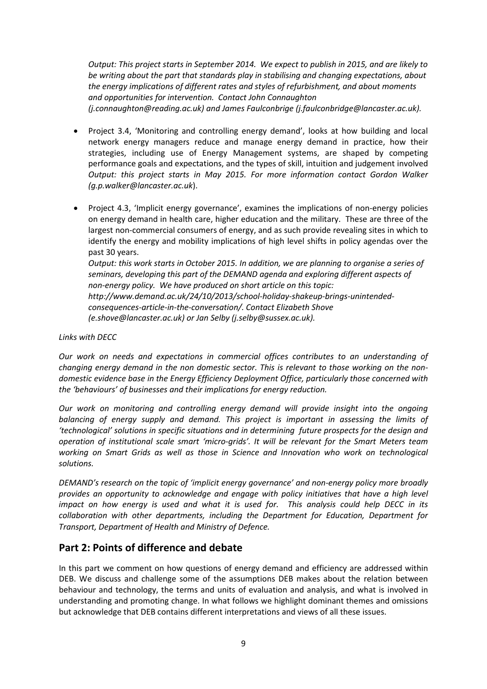*Output: This project starts in September 2014. We expect to publish in 2015, and are likely to be writing about the part that standards play in stabilising and changing expectations, about the energy implications of different rates and styles of refurbishment, and about moments and opportunities for intervention. Contact John Connaughton (j.connaughton@reading.ac.uk) and James Faulconbrige (j.faulconbridge@lancaster.ac.uk).*

- Project 3.4, 'Monitoring and controlling energy demand', looks at how building and local network energy managers reduce and manage energy demand in practice, how their strategies, including use of Energy Management systems, are shaped by competing performance goals and expectations, and the types of skill, intuition and judgement involved *Output: this project starts in May 2015. For more information contact Gordon Walker (g.p.walker@lancaster.ac.uk*).
- Project 4.3, 'Implicit energy governance', examines the implications of non-energy policies on energy demand in health care, higher education and the military. These are three of the largest non-commercial consumers of energy, and as such provide revealing sites in which to identify the energy and mobility implications of high level shifts in policy agendas over the past 30 years.

*Output: this work starts in October 2015. In addition, we are planning to organise a series of seminars, developing this part of the DEMAND agenda and exploring different aspects of non-energy policy. We have produced on short article on this topic: [http://www.demand.ac.uk/24/10/2013/school-holiday-shakeup-brings-unintended](http://www.demand.ac.uk/24/10/2013/school-holiday-shakeup-brings-unintended-consequences-article-in-the-conversation/)[consequences-article-in-the-conversation/.](http://www.demand.ac.uk/24/10/2013/school-holiday-shakeup-brings-unintended-consequences-article-in-the-conversation/) Contact Elizabeth Shove [\(e.shove@lancaster.ac.uk\)](mailto:e.shove@lancaster.ac.uk) or Jan Selby [\(j.selby@sussex.ac.uk\)](mailto:j.selby@sussex.ac.uk).*

#### *Links with DECC*

*Our work on needs and expectations in commercial offices contributes to an understanding of changing energy demand in the non domestic sector. This is relevant to those working on the nondomestic evidence base in the Energy Efficiency Deployment Office, particularly those concerned with the 'behaviours' of businesses and their implications for energy reduction.*

*Our work on monitoring and controlling energy demand will provide insight into the ongoing balancing of energy supply and demand. This project is important in assessing the limits of 'technological' solutions in specific situations and in determining future prospects for the design and operation of institutional scale smart 'micro-grids'. It will be relevant for the Smart Meters team working on Smart Grids as well as those in Science and Innovation who work on technological solutions.*

*DEMAND's research on the topic of 'implicit energy governance' and non-energy policy more broadly provides an opportunity to acknowledge and engage with policy initiatives that have a high level impact on how energy is used and what it is used for. This analysis could help DECC in its collaboration with other departments, including the Department for Education, Department for Transport, Department of Health and Ministry of Defence.*

#### <span id="page-8-0"></span>**Part 2: Points of difference and debate**

In this part we comment on how questions of energy demand and efficiency are addressed within DEB. We discuss and challenge some of the assumptions DEB makes about the relation between behaviour and technology, the terms and units of evaluation and analysis, and what is involved in understanding and promoting change. In what follows we highlight dominant themes and omissions but acknowledge that DEB contains different interpretations and views of all these issues.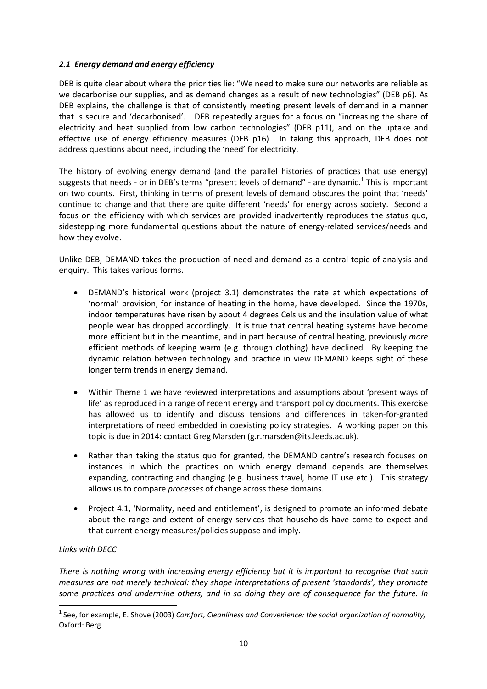#### <span id="page-9-0"></span>*2.1 Energy demand and energy efficiency*

DEB is quite clear about where the priorities lie: "We need to make sure our networks are reliable as we decarbonise our supplies, and as demand changes as a result of new technologies" (DEB p6). As DEB explains, the challenge is that of consistently meeting present levels of demand in a manner that is secure and 'decarbonised'. DEB repeatedly argues for a focus on "increasing the share of electricity and heat supplied from low carbon technologies" (DEB p11), and on the uptake and effective use of energy efficiency measures (DEB p16). In taking this approach, DEB does not address questions about need, including the 'need' for electricity.

The history of evolving energy demand (and the parallel histories of practices that use energy) suggests that needs - or in DEB's terms "present levels of demand" - are dynamic.<sup>[1](#page-9-1)</sup> This is important on two counts. First, thinking in terms of present levels of demand obscures the point that 'needs' continue to change and that there are quite different 'needs' for energy across society. Second a focus on the efficiency with which services are provided inadvertently reproduces the status quo, sidestepping more fundamental questions about the nature of energy-related services/needs and how they evolve.

Unlike DEB, DEMAND takes the production of need and demand as a central topic of analysis and enquiry. This takes various forms.

- DEMAND's historical work (project 3.1) demonstrates the rate at which expectations of 'normal' provision, for instance of heating in the home, have developed. Since the 1970s, indoor temperatures have risen by about 4 degrees Celsius and the insulation value of what people wear has dropped accordingly. It is true that central heating systems have become more efficient but in the meantime, and in part because of central heating, previously *more*  efficient methods of keeping warm (e.g. through clothing) have declined. By keeping the dynamic relation between technology and practice in view DEMAND keeps sight of these longer term trends in energy demand.
- Within Theme 1 we have reviewed interpretations and assumptions about 'present ways of life' as reproduced in a range of recent energy and transport policy documents. This exercise has allowed us to identify and discuss tensions and differences in taken-for-granted interpretations of need embedded in coexisting policy strategies. A working paper on this topic is due in 2014: contact Greg Marsden (g.r.marsden@its.leeds.ac.uk).
- Rather than taking the status quo for granted, the DEMAND centre's research focuses on instances in which the practices on which energy demand depends are themselves expanding, contracting and changing (e.g. business travel, home IT use etc.). This strategy allows us to compare *processes* of change across these domains.
- Project 4.1, 'Normality, need and entitlement', is designed to promote an informed debate about the range and extent of energy services that households have come to expect and that current energy measures/policies suppose and imply.

#### *Links with DECC*

 $\overline{\phantom{a}}$ 

*There is nothing wrong with increasing energy efficiency but it is important to recognise that such measures are not merely technical: they shape interpretations of present 'standards', they promote some practices and undermine others, and in so doing they are of consequence for the future. In* 

<span id="page-9-1"></span><sup>1</sup> See, for example, E. Shove (2003) *Comfort, Cleanliness and Convenience: the social organization of normality,*  Oxford: Berg.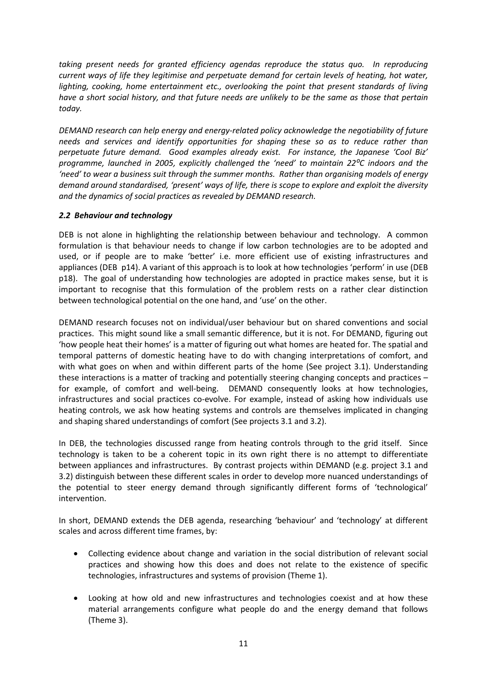*taking present needs for granted efficiency agendas reproduce the status quo. In reproducing current ways of life they legitimise and perpetuate demand for certain levels of heating, hot water, lighting, cooking, home entertainment etc., overlooking the point that present standards of living have a short social history, and that future needs are unlikely to be the same as those that pertain today.*

*DEMAND research can help energy and energy-related policy acknowledge the negotiability of future needs and services and identify opportunities for shaping these so as to reduce rather than perpetuate future demand. Good examples already exist. For instance, the Japanese 'Cool Biz' programme, launched in 2005, explicitly challenged the 'need' to maintain 22⁰C indoors and the 'need' to wear a business suit through the summer months. Rather than organising models of energy demand around standardised, 'present' ways of life, there is scope to explore and exploit the diversity and the dynamics of social practices as revealed by DEMAND research.*

#### <span id="page-10-0"></span>*2.2 Behaviour and technology*

DEB is not alone in highlighting the relationship between behaviour and technology. A common formulation is that behaviour needs to change if low carbon technologies are to be adopted and used, or if people are to make 'better' i.e. more efficient use of existing infrastructures and appliances (DEB p14). A variant of this approach is to look at how technologies 'perform' in use (DEB p18). The goal of understanding how technologies are adopted in practice makes sense, but it is important to recognise that this formulation of the problem rests on a rather clear distinction between technological potential on the one hand, and 'use' on the other.

DEMAND research focuses not on individual/user behaviour but on shared conventions and social practices. This might sound like a small semantic difference, but it is not. For DEMAND, figuring out 'how people heat their homes' is a matter of figuring out what homes are heated for. The spatial and temporal patterns of domestic heating have to do with changing interpretations of comfort, and with what goes on when and within different parts of the home (See project 3.1). Understanding these interactions is a matter of tracking and potentially steering changing concepts and practices – for example, of comfort and well-being. DEMAND consequently looks at how technologies, infrastructures and social practices co-evolve. For example, instead of asking how individuals use heating controls, we ask how heating systems and controls are themselves implicated in changing and shaping shared understandings of comfort (See projects 3.1 and 3.2).

In DEB, the technologies discussed range from heating controls through to the grid itself. Since technology is taken to be a coherent topic in its own right there is no attempt to differentiate between appliances and infrastructures. By contrast projects within DEMAND (e.g. project 3.1 and 3.2) distinguish between these different scales in order to develop more nuanced understandings of the potential to steer energy demand through significantly different forms of 'technological' intervention.

In short, DEMAND extends the DEB agenda, researching 'behaviour' and 'technology' at different scales and across different time frames, by:

- Collecting evidence about change and variation in the social distribution of relevant social practices and showing how this does and does not relate to the existence of specific technologies, infrastructures and systems of provision (Theme 1).
- Looking at how old and new infrastructures and technologies coexist and at how these material arrangements configure what people do and the energy demand that follows (Theme 3).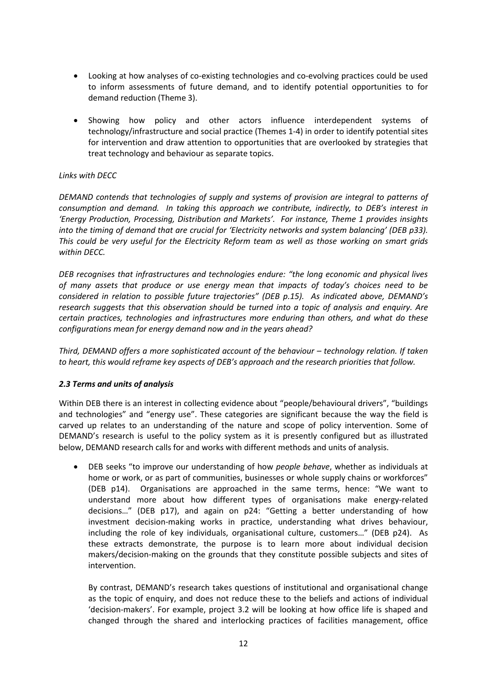- Looking at how analyses of co-existing technologies and co-evolving practices could be used to inform assessments of future demand, and to identify potential opportunities to for demand reduction (Theme 3).
- Showing how policy and other actors influence interdependent systems of technology/infrastructure and social practice (Themes 1-4) in order to identify potential sites for intervention and draw attention to opportunities that are overlooked by strategies that treat technology and behaviour as separate topics.

#### *Links with DECC*

*DEMAND contends that technologies of supply and systems of provision are integral to patterns of consumption and demand. In taking this approach we contribute, indirectly, to DEB's interest in 'Energy Production, Processing, Distribution and Markets'. For instance, Theme 1 provides insights into the timing of demand that are crucial for 'Electricity networks and system balancing' (DEB p33). This could be very useful for the Electricity Reform team as well as those working on smart grids within DECC.*

*DEB recognises that infrastructures and technologies endure: "the long economic and physical lives of many assets that produce or use energy mean that impacts of today's choices need to be considered in relation to possible future trajectories" (DEB p.15). As indicated above, DEMAND's research suggests that this observation should be turned into a topic of analysis and enquiry. Are certain practices, technologies and infrastructures more enduring than others, and what do these configurations mean for energy demand now and in the years ahead?*

*Third, DEMAND offers a more sophisticated account of the behaviour – technology relation. If taken to heart, this would reframe key aspects of DEB's approach and the research priorities that follow.* 

#### <span id="page-11-0"></span>*2.3 Terms and units of analysis*

Within DEB there is an interest in collecting evidence about "people/behavioural drivers", "buildings and technologies" and "energy use". These categories are significant because the way the field is carved up relates to an understanding of the nature and scope of policy intervention. Some of DEMAND's research is useful to the policy system as it is presently configured but as illustrated below, DEMAND research calls for and works with different methods and units of analysis.

• DEB seeks "to improve our understanding of how *people behave*, whether as individuals at home or work, or as part of communities, businesses or whole supply chains or workforces" (DEB p14). Organisations are approached in the same terms, hence: "We want to understand more about how different types of organisations make energy-related decisions…" (DEB p17), and again on p24: "Getting a better understanding of how investment decision-making works in practice, understanding what drives behaviour, including the role of key individuals, organisational culture, customers…" (DEB p24). As these extracts demonstrate, the purpose is to learn more about individual decision makers/decision-making on the grounds that they constitute possible subjects and sites of intervention.

By contrast, DEMAND's research takes questions of institutional and organisational change as the topic of enquiry, and does not reduce these to the beliefs and actions of individual 'decision-makers'. For example, project 3.2 will be looking at how office life is shaped and changed through the shared and interlocking practices of facilities management, office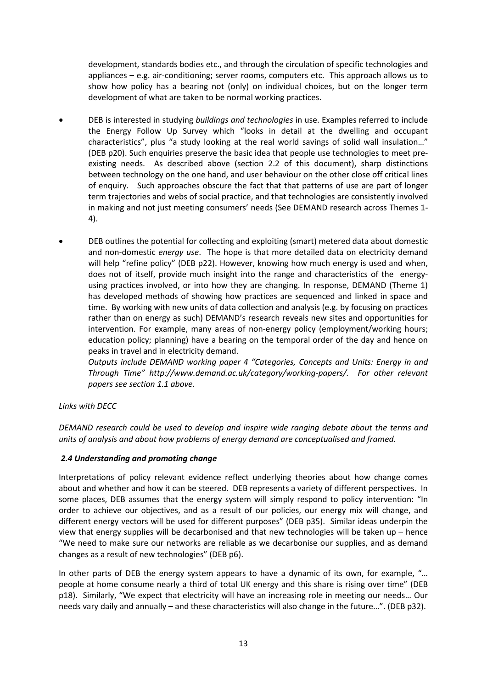development, standards bodies etc., and through the circulation of specific technologies and appliances – e.g. air-conditioning; server rooms, computers etc. This approach allows us to show how policy has a bearing not (only) on individual choices, but on the longer term development of what are taken to be normal working practices.

- DEB is interested in studying *buildings and technologies* in use. Examples referred to include the Energy Follow Up Survey which "looks in detail at the dwelling and occupant characteristics", plus "a study looking at the real world savings of solid wall insulation…" (DEB p20). Such enquiries preserve the basic idea that people use technologies to meet preexisting needs. As described above (section 2.2 of this document), sharp distinctions between technology on the one hand, and user behaviour on the other close off critical lines of enquiry. Such approaches obscure the fact that that patterns of use are part of longer term trajectories and webs of social practice, and that technologies are consistently involved in making and not just meeting consumers' needs (See DEMAND research across Themes 1- 4).
- DEB outlines the potential for collecting and exploiting (smart) metered data about domestic and non-domestic *energy use*. The hope is that more detailed data on electricity demand will help "refine policy" (DEB p22). However, knowing how much energy is used and when, does not of itself, provide much insight into the range and characteristics of the energyusing practices involved, or into how they are changing. In response, DEMAND (Theme 1) has developed methods of showing how practices are sequenced and linked in space and time. By working with new units of data collection and analysis (e.g. by focusing on practices rather than on energy as such) DEMAND's research reveals new sites and opportunities for intervention. For example, many areas of non-energy policy (employment/working hours; education policy; planning) have a bearing on the temporal order of the day and hence on peaks in travel and in electricity demand.

*Outputs include DEMAND working paper 4 "Categories, Concepts and Units: Energy in and Through Time" [http://www.demand.ac.uk/category/working-papers/.](http://www.demand.ac.uk/category/working-papers/) For other relevant papers see section 1.1 above.*

#### *Links with DECC*

*DEMAND research could be used to develop and inspire wide ranging debate about the terms and units of analysis and about how problems of energy demand are conceptualised and framed.*

#### <span id="page-12-0"></span>*2.4 Understanding and promoting change*

Interpretations of policy relevant evidence reflect underlying theories about how change comes about and whether and how it can be steered. DEB represents a variety of different perspectives. In some places, DEB assumes that the energy system will simply respond to policy intervention: "In order to achieve our objectives, and as a result of our policies, our energy mix will change, and different energy vectors will be used for different purposes" (DEB p35). Similar ideas underpin the view that energy supplies will be decarbonised and that new technologies will be taken up – hence "We need to make sure our networks are reliable as we decarbonise our supplies, and as demand changes as a result of new technologies" (DEB p6).

In other parts of DEB the energy system appears to have a dynamic of its own, for example, "… people at home consume nearly a third of total UK energy and this share is rising over time" (DEB p18). Similarly, "We expect that electricity will have an increasing role in meeting our needs… Our needs vary daily and annually – and these characteristics will also change in the future…". (DEB p32).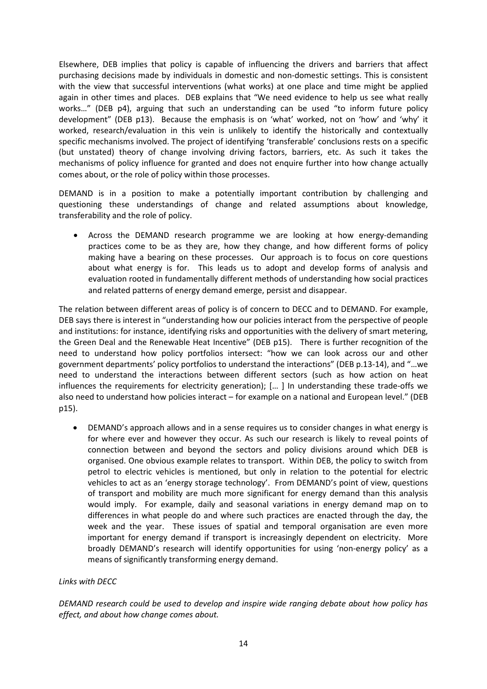Elsewhere, DEB implies that policy is capable of influencing the drivers and barriers that affect purchasing decisions made by individuals in domestic and non-domestic settings. This is consistent with the view that successful interventions (what works) at one place and time might be applied again in other times and places. DEB explains that "We need evidence to help us see what really works..." (DEB p4), arguing that such an understanding can be used "to inform future policy development" (DEB p13). Because the emphasis is on 'what' worked, not on 'how' and 'why' it worked, research/evaluation in this vein is unlikely to identify the historically and contextually specific mechanisms involved. The project of identifying 'transferable' conclusions rests on a specific (but unstated) theory of change involving driving factors, barriers, etc. As such it takes the mechanisms of policy influence for granted and does not enquire further into how change actually comes about, or the role of policy within those processes.

DEMAND is in a position to make a potentially important contribution by challenging and questioning these understandings of change and related assumptions about knowledge, transferability and the role of policy.

• Across the DEMAND research programme we are looking at how energy-demanding practices come to be as they are, how they change, and how different forms of policy making have a bearing on these processes. Our approach is to focus on core questions about what energy is for. This leads us to adopt and develop forms of analysis and evaluation rooted in fundamentally different methods of understanding how social practices and related patterns of energy demand emerge, persist and disappear.

The relation between different areas of policy is of concern to DECC and to DEMAND. For example, DEB says there is interest in "understanding how our policies interact from the perspective of people and institutions: for instance, identifying risks and opportunities with the delivery of smart metering, the Green Deal and the Renewable Heat Incentive" (DEB p15). There is further recognition of the need to understand how policy portfolios intersect: "how we can look across our and other government departments' policy portfolios to understand the interactions" (DEB p.13-14), and "…we need to understand the interactions between different sectors (such as how action on heat influences the requirements for electricity generation); [… ] In understanding these trade-offs we also need to understand how policies interact – for example on a national and European level." (DEB p15).

• DEMAND's approach allows and in a sense requires us to consider changes in what energy is for where ever and however they occur. As such our research is likely to reveal points of connection between and beyond the sectors and policy divisions around which DEB is organised. One obvious example relates to transport. Within DEB, the policy to switch from petrol to electric vehicles is mentioned, but only in relation to the potential for electric vehicles to act as an 'energy storage technology'. From DEMAND's point of view, questions of transport and mobility are much more significant for energy demand than this analysis would imply. For example, daily and seasonal variations in energy demand map on to differences in what people do and where such practices are enacted through the day, the week and the year. These issues of spatial and temporal organisation are even more important for energy demand if transport is increasingly dependent on electricity. More broadly DEMAND's research will identify opportunities for using 'non-energy policy' as a means of significantly transforming energy demand.

#### *Links with DECC*

*DEMAND research could be used to develop and inspire wide ranging debate about how policy has effect, and about how change comes about.*